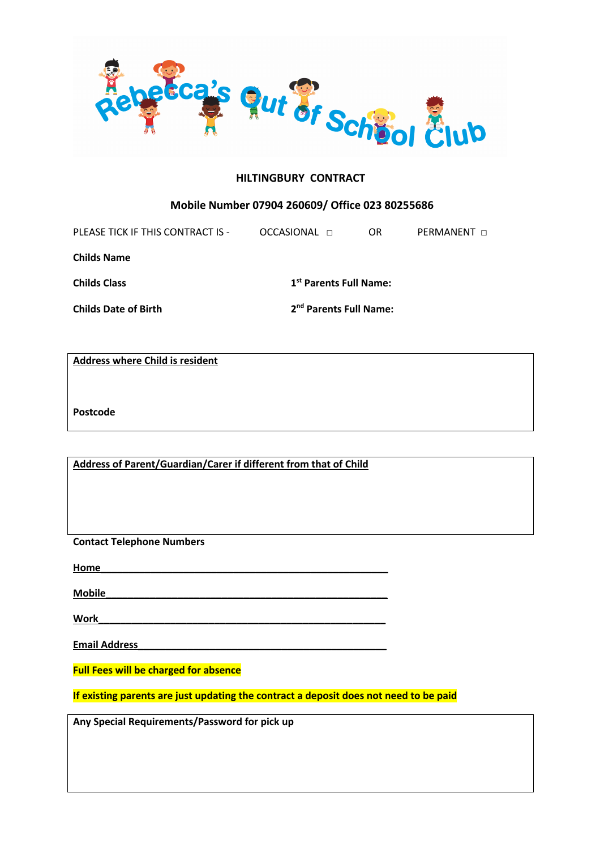

## **HILTINGBURY CONTRACT**

## **Mobile Number 07904 260609/ Office 023 80255686**

| PLEASE TICK IF THIS CONTRACT IS - | OCCASIONAL <b>n</b>                | OR.                                | <b>PERMANENT</b> $\sqcap$ |  |
|-----------------------------------|------------------------------------|------------------------------------|---------------------------|--|
| <b>Childs Name</b>                |                                    |                                    |                           |  |
| <b>Childs Class</b>               |                                    | 1 <sup>st</sup> Parents Full Name: |                           |  |
| <b>Childs Date of Birth</b>       | 2 <sup>nd</sup> Parents Full Name: |                                    |                           |  |

**Address where Child is resident**

**Postcode**

**Address of Parent/Guardian/Carer if different from that of Child**

**Contact Telephone Numbers**

**Home\_\_\_\_\_\_\_\_\_\_\_\_\_\_\_\_\_\_\_\_\_\_\_\_\_\_\_\_\_\_\_\_\_\_\_\_\_\_\_\_\_\_\_\_\_\_\_\_\_\_\_\_**

**Mobile\_\_\_\_\_\_\_\_\_\_\_\_\_\_\_\_\_\_\_\_\_\_\_\_\_\_\_\_\_\_\_\_\_\_\_\_\_\_\_\_\_\_\_\_\_\_\_\_\_\_\_**

 $Work$ 

**Email Address\_\_\_\_\_\_\_\_\_\_\_\_\_\_\_\_\_\_\_\_\_\_\_\_\_\_\_\_\_\_\_\_\_\_\_\_\_\_\_\_\_\_\_\_\_**

**Full Fees will be charged for absence**

**If existing parents are just updating the contract a deposit does not need to be paid**

**Any Special Requirements/Password for pick up**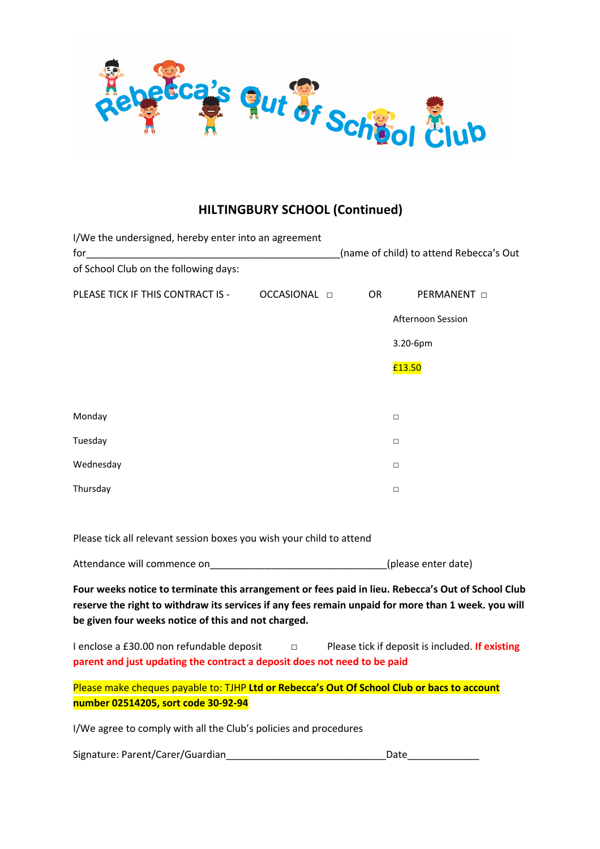

# **HILTINGBURY SCHOOL (Continued)**

| I/We the undersigned, hereby enter into an agreement<br>for |                     | (name of child) to attend Rebecca's Out |                    |
|-------------------------------------------------------------|---------------------|-----------------------------------------|--------------------|
| of School Club on the following days:                       |                     |                                         |                    |
| PLEASE TICK IF THIS CONTRACT IS -                           | OCCASIONAL <b>D</b> | <b>OR</b>                               | PERMANENT <b>D</b> |
|                                                             |                     |                                         | Afternoon Session  |
|                                                             |                     |                                         | 3.20-6pm           |
|                                                             |                     |                                         | £13.50             |
|                                                             |                     |                                         |                    |
| Monday                                                      |                     |                                         | $\Box$             |
| Tuesday                                                     |                     |                                         | $\Box$             |
| Wednesday                                                   |                     |                                         | $\Box$             |
| Thursday                                                    |                     |                                         | $\Box$             |

Please tick all relevant session boxes you wish your child to attend

Attendance will commence on example a settle of the settle (please enter date)

**Four weeks notice to terminate this arrangement or fees paid in lieu. Rebecca's Out of School Club reserve the right to withdraw its services if any fees remain unpaid for more than 1 week. you will be given four weeks notice of this and not charged.**

I enclose a £30.00 non refundable deposit □ Please tick if deposit is included. **If existing parent and just updating the contract a deposit does not need to be paid**

Please make cheques payable to: TJHP **Ltd or Rebecca's Out Of School Club or bacs to account number 02514205, sort code 30-92-94**

I/We agree to comply with all the Club's policies and procedures

Signature: Parent/Carer/Guardian\_\_\_\_\_\_\_\_\_\_\_\_\_\_\_\_\_\_\_\_\_\_\_\_\_\_\_\_\_Date\_\_\_\_\_\_\_\_\_\_\_\_\_